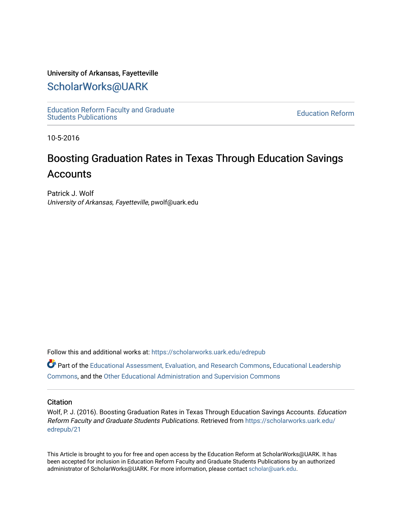#### University of Arkansas, Fayetteville

## [ScholarWorks@UARK](https://scholarworks.uark.edu/)

[Education Reform Faculty and Graduate](https://scholarworks.uark.edu/edrepub)  [Education Reform](https://scholarworks.uark.edu/edre) Faculty and Graduate<br>Students Publications

10-5-2016

# Boosting Graduation Rates in Texas Through Education Savings **Accounts**

Patrick J. Wolf University of Arkansas, Fayetteville, pwolf@uark.edu

Follow this and additional works at: [https://scholarworks.uark.edu/edrepub](https://scholarworks.uark.edu/edrepub?utm_source=scholarworks.uark.edu%2Fedrepub%2F21&utm_medium=PDF&utm_campaign=PDFCoverPages) 

Part of the [Educational Assessment, Evaluation, and Research Commons](http://network.bepress.com/hgg/discipline/796?utm_source=scholarworks.uark.edu%2Fedrepub%2F21&utm_medium=PDF&utm_campaign=PDFCoverPages), [Educational Leadership](http://network.bepress.com/hgg/discipline/1230?utm_source=scholarworks.uark.edu%2Fedrepub%2F21&utm_medium=PDF&utm_campaign=PDFCoverPages) [Commons](http://network.bepress.com/hgg/discipline/1230?utm_source=scholarworks.uark.edu%2Fedrepub%2F21&utm_medium=PDF&utm_campaign=PDFCoverPages), and the [Other Educational Administration and Supervision Commons](http://network.bepress.com/hgg/discipline/794?utm_source=scholarworks.uark.edu%2Fedrepub%2F21&utm_medium=PDF&utm_campaign=PDFCoverPages) 

#### **Citation**

Wolf, P. J. (2016). Boosting Graduation Rates in Texas Through Education Savings Accounts. Education Reform Faculty and Graduate Students Publications. Retrieved from [https://scholarworks.uark.edu/](https://scholarworks.uark.edu/edrepub/21?utm_source=scholarworks.uark.edu%2Fedrepub%2F21&utm_medium=PDF&utm_campaign=PDFCoverPages) [edrepub/21](https://scholarworks.uark.edu/edrepub/21?utm_source=scholarworks.uark.edu%2Fedrepub%2F21&utm_medium=PDF&utm_campaign=PDFCoverPages) 

This Article is brought to you for free and open access by the Education Reform at ScholarWorks@UARK. It has been accepted for inclusion in Education Reform Faculty and Graduate Students Publications by an authorized administrator of ScholarWorks@UARK. For more information, please contact [scholar@uark.edu](mailto:scholar@uark.edu).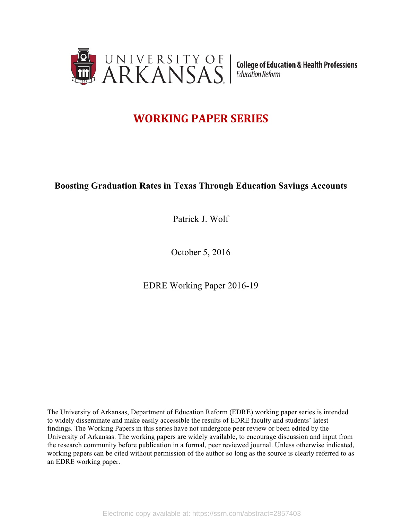

# **WORKING PAPER SERIES**

## **Boosting Graduation Rates in Texas Through Education Savings Accounts**

Patrick J. Wolf

October 5, 2016

EDRE Working Paper 2016-19

The University of Arkansas, Department of Education Reform (EDRE) working paper series is intended to widely disseminate and make easily accessible the results of EDRE faculty and students' latest findings. The Working Papers in this series have not undergone peer review or been edited by the University of Arkansas. The working papers are widely available, to encourage discussion and input from the research community before publication in a formal, peer reviewed journal. Unless otherwise indicated, working papers can be cited without permission of the author so long as the source is clearly referred to as an EDRE working paper.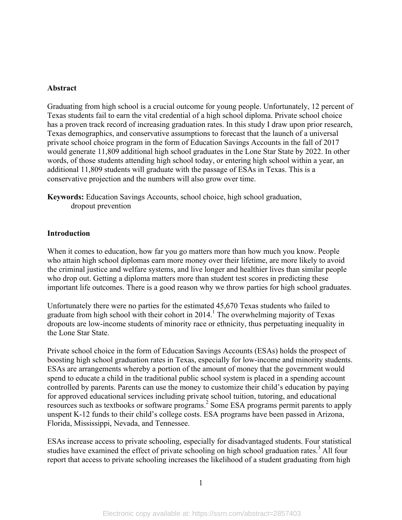#### **Abstract**

Graduating from high school is a crucial outcome for young people. Unfortunately, 12 percent of Texas students fail to earn the vital credential of a high school diploma. Private school choice has a proven track record of increasing graduation rates. In this study I draw upon prior research, Texas demographics, and conservative assumptions to forecast that the launch of a universal private school choice program in the form of Education Savings Accounts in the fall of 2017 would generate 11,809 additional high school graduates in the Lone Star State by 2022. In other words, of those students attending high school today, or entering high school within a year, an additional 11,809 students will graduate with the passage of ESAs in Texas. This is a conservative projection and the numbers will also grow over time.

**Keywords:** Education Savings Accounts, school choice, high school graduation, dropout prevention

#### **Introduction**

When it comes to education, how far you go matters more than how much you know. People who attain high school diplomas earn more money over their lifetime, are more likely to avoid the criminal justice and welfare systems, and live longer and healthier lives than similar people who drop out. Getting a diploma matters more than student test scores in predicting these important life outcomes. There is a good reason why we throw parties for high school graduates.

Unfortunately there were no parties for the estimated 45,670 Texas students who failed to graduate from high school with their cohort in  $2014<sup>1</sup>$ . The overwhelming majority of Texas dropouts are low-income students of minority race or ethnicity, thus perpetuating inequality in the Lone Star State.

Private school choice in the form of Education Savings Accounts (ESAs) holds the prospect of boosting high school graduation rates in Texas, especially for low-income and minority students. ESAs are arrangements whereby a portion of the amount of money that the government would spend to educate a child in the traditional public school system is placed in a spending account controlled by parents. Parents can use the money to customize their child's education by paying for approved educational services including private school tuition, tutoring, and educational resources such as textbooks or software programs.<sup>2</sup> Some ESA programs permit parents to apply unspent K-12 funds to their child's college costs. ESA programs have been passed in Arizona, Florida, Mississippi, Nevada, and Tennessee.

ESAs increase access to private schooling, especially for disadvantaged students. Four statistical studies have examined the effect of private schooling on high school graduation rates.<sup>3</sup> All four report that access to private schooling increases the likelihood of a student graduating from high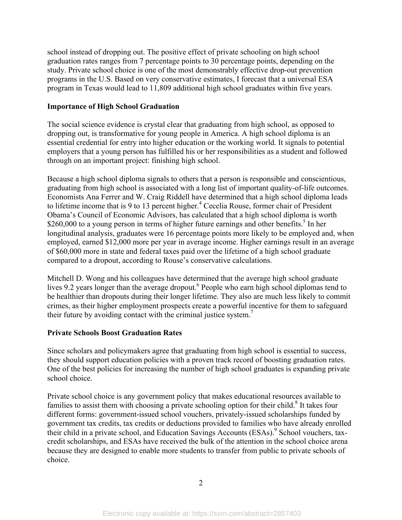school instead of dropping out. The positive effect of private schooling on high school graduation rates ranges from 7 percentage points to 30 percentage points, depending on the study. Private school choice is one of the most demonstrably effective drop-out prevention programs in the U.S. Based on very conservative estimates, I forecast that a universal ESA program in Texas would lead to 11,809 additional high school graduates within five years.

#### **Importance of High School Graduation**

The social science evidence is crystal clear that graduating from high school, as opposed to dropping out, is transformative for young people in America. A high school diploma is an essential credential for entry into higher education or the working world. It signals to potential employers that a young person has fulfilled his or her responsibilities as a student and followed through on an important project: finishing high school.

Because a high school diploma signals to others that a person is responsible and conscientious, graduating from high school is associated with a long list of important quality-of-life outcomes. Economists Ana Ferrer and W. Craig Riddell have determined that a high school diploma leads to lifetime income that is 9 to 13 percent higher.<sup>4</sup> Cecelia Rouse, former chair of President Obama's Council of Economic Advisors, has calculated that a high school diploma is worth \$260,000 to a young person in terms of higher future earnings and other benefits.<sup>5</sup> In her longitudinal analysis, graduates were 16 percentage points more likely to be employed and, when employed, earned \$12,000 more per year in average income. Higher earnings result in an average of \$60,000 more in state and federal taxes paid over the lifetime of a high school graduate compared to a dropout, according to Rouse's conservative calculations.

Mitchell D. Wong and his colleagues have determined that the average high school graduate lives 9.2 years longer than the average dropout.<sup>6</sup> People who earn high school diplomas tend to be healthier than dropouts during their longer lifetime. They also are much less likely to commit crimes, as their higher employment prospects create a powerful incentive for them to safeguard their future by avoiding contact with the criminal justice system.7

#### **Private Schools Boost Graduation Rates**

Since scholars and policymakers agree that graduating from high school is essential to success, they should support education policies with a proven track record of boosting graduation rates. One of the best policies for increasing the number of high school graduates is expanding private school choice.

Private school choice is any government policy that makes educational resources available to families to assist them with choosing a private schooling option for their child.<sup>8</sup> It takes four different forms: government-issued school vouchers, privately-issued scholarships funded by government tax credits, tax credits or deductions provided to families who have already enrolled their child in a private school, and Education Savings Accounts (ESAs).<sup>9</sup> School vouchers, taxcredit scholarships, and ESAs have received the bulk of the attention in the school choice arena because they are designed to enable more students to transfer from public to private schools of choice.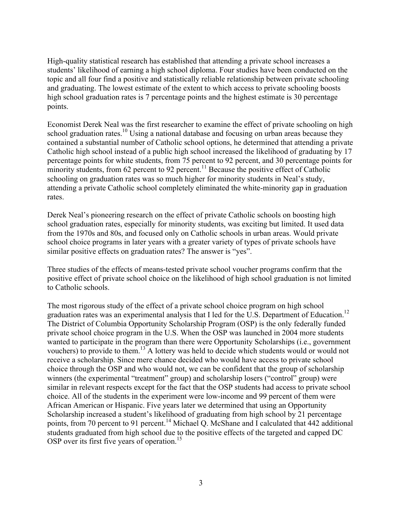High-quality statistical research has established that attending a private school increases a students' likelihood of earning a high school diploma. Four studies have been conducted on the topic and all four find a positive and statistically reliable relationship between private schooling and graduating. The lowest estimate of the extent to which access to private schooling boosts high school graduation rates is 7 percentage points and the highest estimate is 30 percentage points.

Economist Derek Neal was the first researcher to examine the effect of private schooling on high school graduation rates.<sup>10</sup> Using a national database and focusing on urban areas because they contained a substantial number of Catholic school options, he determined that attending a private Catholic high school instead of a public high school increased the likelihood of graduating by 17 percentage points for white students, from 75 percent to 92 percent, and 30 percentage points for minority students, from  $62$  percent to  $92$  percent.<sup>11</sup> Because the positive effect of Catholic schooling on graduation rates was so much higher for minority students in Neal's study, attending a private Catholic school completely eliminated the white-minority gap in graduation rates.

Derek Neal's pioneering research on the effect of private Catholic schools on boosting high school graduation rates, especially for minority students, was exciting but limited. It used data from the 1970s and 80s, and focused only on Catholic schools in urban areas. Would private school choice programs in later years with a greater variety of types of private schools have similar positive effects on graduation rates? The answer is "yes".

Three studies of the effects of means-tested private school voucher programs confirm that the positive effect of private school choice on the likelihood of high school graduation is not limited to Catholic schools.

The most rigorous study of the effect of a private school choice program on high school graduation rates was an experimental analysis that I led for the U.S. Department of Education.<sup>12</sup> The District of Columbia Opportunity Scholarship Program (OSP) is the only federally funded private school choice program in the U.S. When the OSP was launched in 2004 more students wanted to participate in the program than there were Opportunity Scholarships (i.e., government vouchers) to provide to them.13 A lottery was held to decide which students would or would not receive a scholarship. Since mere chance decided who would have access to private school choice through the OSP and who would not, we can be confident that the group of scholarship winners (the experimental "treatment" group) and scholarship losers ("control" group) were similar in relevant respects except for the fact that the OSP students had access to private school choice. All of the students in the experiment were low-income and 99 percent of them were African American or Hispanic. Five years later we determined that using an Opportunity Scholarship increased a student's likelihood of graduating from high school by 21 percentage points, from 70 percent to 91 percent.<sup>14</sup> Michael Q. McShane and I calculated that 442 additional students graduated from high school due to the positive effects of the targeted and capped DC OSP over its first five years of operation.<sup>15</sup>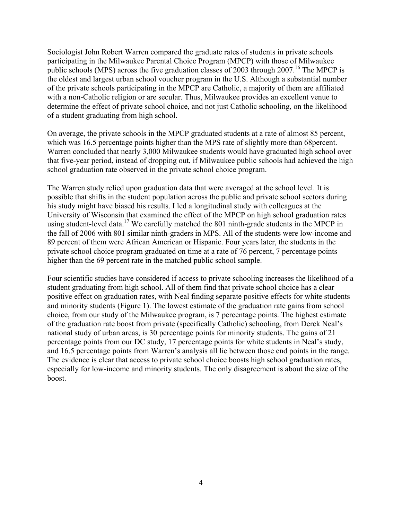Sociologist John Robert Warren compared the graduate rates of students in private schools participating in the Milwaukee Parental Choice Program (MPCP) with those of Milwaukee public schools (MPS) across the five graduation classes of 2003 through 2007.<sup>16</sup> The MPCP is the oldest and largest urban school voucher program in the U.S. Although a substantial number of the private schools participating in the MPCP are Catholic, a majority of them are affiliated with a non-Catholic religion or are secular. Thus, Milwaukee provides an excellent venue to determine the effect of private school choice, and not just Catholic schooling, on the likelihood of a student graduating from high school.

On average, the private schools in the MPCP graduated students at a rate of almost 85 percent, which was 16.5 percentage points higher than the MPS rate of slightly more than 68 percent. Warren concluded that nearly 3,000 Milwaukee students would have graduated high school over that five-year period, instead of dropping out, if Milwaukee public schools had achieved the high school graduation rate observed in the private school choice program.

The Warren study relied upon graduation data that were averaged at the school level. It is possible that shifts in the student population across the public and private school sectors during his study might have biased his results. I led a longitudinal study with colleagues at the University of Wisconsin that examined the effect of the MPCP on high school graduation rates using student-level data.<sup>17</sup> We carefully matched the 801 ninth-grade students in the MPCP in the fall of 2006 with 801 similar ninth-graders in MPS. All of the students were low-income and 89 percent of them were African American or Hispanic. Four years later, the students in the private school choice program graduated on time at a rate of 76 percent, 7 percentage points higher than the 69 percent rate in the matched public school sample.

Four scientific studies have considered if access to private schooling increases the likelihood of a student graduating from high school. All of them find that private school choice has a clear positive effect on graduation rates, with Neal finding separate positive effects for white students and minority students (Figure 1). The lowest estimate of the graduation rate gains from school choice, from our study of the Milwaukee program, is 7 percentage points. The highest estimate of the graduation rate boost from private (specifically Catholic) schooling, from Derek Neal's national study of urban areas, is 30 percentage points for minority students. The gains of 21 percentage points from our DC study, 17 percentage points for white students in Neal's study, and 16.5 percentage points from Warren's analysis all lie between those end points in the range. The evidence is clear that access to private school choice boosts high school graduation rates, especially for low-income and minority students. The only disagreement is about the size of the boost.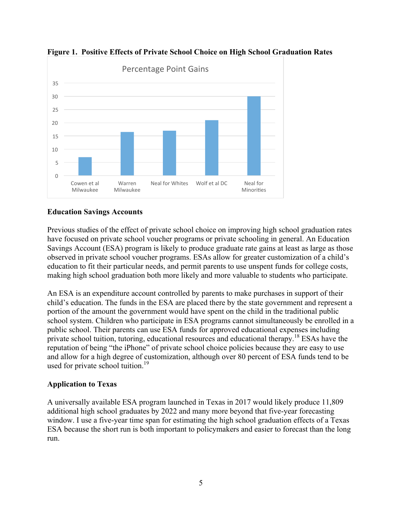

**Figure 1. Positive Effects of Private School Choice on High School Graduation Rates**

### **Education Savings Accounts**

Previous studies of the effect of private school choice on improving high school graduation rates have focused on private school voucher programs or private schooling in general. An Education Savings Account (ESA) program is likely to produce graduate rate gains at least as large as those observed in private school voucher programs. ESAs allow for greater customization of a child's education to fit their particular needs, and permit parents to use unspent funds for college costs, making high school graduation both more likely and more valuable to students who participate.

An ESA is an expenditure account controlled by parents to make purchases in support of their child's education. The funds in the ESA are placed there by the state government and represent a portion of the amount the government would have spent on the child in the traditional public school system. Children who participate in ESA programs cannot simultaneously be enrolled in a public school. Their parents can use ESA funds for approved educational expenses including private school tuition, tutoring, educational resources and educational therapy.<sup>18</sup> ESAs have the reputation of being "the iPhone" of private school choice policies because they are easy to use and allow for a high degree of customization, although over 80 percent of ESA funds tend to be used for private school tuition.<sup>19</sup>

### **Application to Texas**

A universally available ESA program launched in Texas in 2017 would likely produce 11,809 additional high school graduates by 2022 and many more beyond that five-year forecasting window. I use a five-year time span for estimating the high school graduation effects of a Texas ESA because the short run is both important to policymakers and easier to forecast than the long run.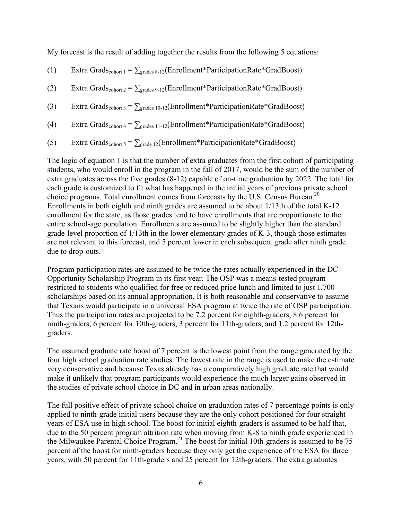My forecast is the result of adding together the results from the following 5 equations:

(1) Extra Grads<sub>cohort 1</sub> =  $\sum_{\text{grades } 8-12}$ (Enrollment\*ParticipationRate\*GradBoost)

(2) Extra Grads<sub>cohort 2</sub> =  $\sum_{\text{grades }9-12}$ (Enrollment\*ParticipationRate\*GradBoost)

(3) Extra Grads<sub>cohort 3</sub> =  $\sum_{\text{grades 10-12}}$ (Enrollment\*ParticipationRate\*GradBoost)

(4) Extra Grads<sub>cohort 4</sub> =  $\sum_{\text{grades 11-12}}$ (Enrollment\*ParticipationRate\*GradBoost)

(5) Extra Grads<sub>cohort 5</sub> =  $\sum_{\text{grade 12}}$ (Enrollment\*ParticipationRate\*GradBoost)

The logic of equation 1 is that the number of extra graduates from the first cohort of participating students, who would enroll in the program in the fall of 2017, would be the sum of the number of extra graduates across the five grades (8-12) capable of on-time graduation by 2022. The total for each grade is customized to fit what has happened in the initial years of previous private school choice programs. Total enrollment comes from forecasts by the U.S. Census Bureau.<sup>20</sup> Enrollments in both eighth and ninth grades are assumed to be about 1/13th of the total K-12 enrollment for the state, as those grades tend to have enrollments that are proportionate to the entire school-age population. Enrollments are assumed to be slightly higher than the standard grade-level proportion of 1/13th in the lower elementary grades of K-3, though those estimates are not relevant to this forecast, and 5 percent lower in each subsequent grade after ninth grade due to drop-outs.

Program participation rates are assumed to be twice the rates actually experienced in the DC Opportunity Scholarship Program in its first year. The OSP was a means-tested program restricted to students who qualified for free or reduced price lunch and limited to just 1,700 scholarships based on its annual appropriation. It is both reasonable and conservative to assume that Texans would participate in a universal ESA program at twice the rate of OSP participation. Thus the participation rates are projected to be 7.2 percent for eighth-graders, 8.6 percent for ninth-graders, 6 percent for 10th-graders, 3 percent for 11th-graders, and 1.2 percent for 12thgraders.

The assumed graduate rate boost of 7 percent is the lowest point from the range generated by the four high school graduation rate studies. The lowest rate in the range is used to make the estimate very conservative and because Texas already has a comparatively high graduate rate that would make it unlikely that program participants would experience the much larger gains observed in the studies of private school choice in DC and in urban areas nationally.

The full positive effect of private school choice on graduation rates of 7 percentage points is only applied to ninth-grade initial users because they are the only cohort positioned for four straight years of ESA use in high school. The boost for initial eighth-graders is assumed to be half that, due to the 50 percent program attrition rate when moving from K-8 to ninth grade experienced in the Milwaukee Parental Choice Program.<sup>21</sup> The boost for initial 10th-graders is assumed to be 75 percent of the boost for ninth-graders because they only get the experience of the ESA for three years, with 50 percent for 11th-graders and 25 percent for 12th-graders. The extra graduates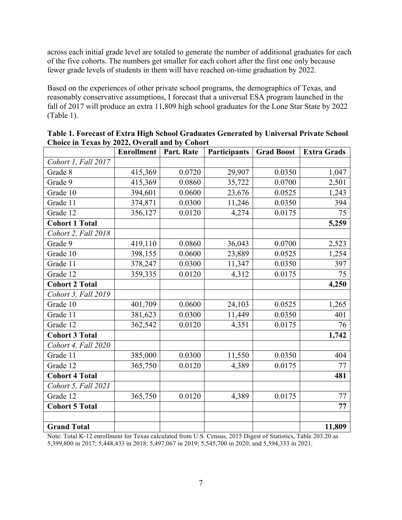across each initial grade level are totaled to generate the number of additional graduates for each of the five cohorts. The numbers get smaller for each cohort after the first one only because fewer grade levels of students in them will have reached on-time graduation by 2022.

Based on the experiences of other private school programs, the demographics of Texas, and reasonably conservative assumptions, I forecast that a universal ESA program launched in the fall of 2017 will produce an extra 11,809 high school graduates for the Lone Star State by 2022 (Table 1).

|                       | <b>Enrollment</b> | Part. Rate | Participants | <b>Grad Boost</b> | <b>Extra Grads</b> |
|-----------------------|-------------------|------------|--------------|-------------------|--------------------|
| Cohort 1, Fall 2017   |                   |            |              |                   |                    |
| Grade 8               | 415,369           | 0.0720     | 29,907       | 0.0350            | 1,047              |
| Grade 9               | 415,369           | 0.0860     | 35,722       | 0.0700            | 2,501              |
| Grade 10              | 394,601           | 0.0600     | 23,676       | 0.0525            | 1,243              |
| Grade 11              | 374,871           | 0.0300     | 11,246       | 0.0350            | 394                |
| Grade 12              | 356,127           | 0.0120     | 4,274        | 0.0175            | 75                 |
| <b>Cohort 1 Total</b> |                   |            |              |                   | 5,259              |
| Cohort 2, Fall 2018   |                   |            |              |                   |                    |
| Grade 9               | 419,110           | 0.0860     | 36,043       | 0.0700            | 2,523              |
| Grade 10              | 398,155           | 0.0600     | 23,889       | 0.0525            | 1,254              |
| Grade 11              | 378,247           | 0.0300     | 11,347       | 0.0350            | 397                |
| Grade 12              | 359,335           | 0.0120     | 4,312        | 0.0175            | 75                 |
| <b>Cohort 2 Total</b> |                   |            |              |                   | 4,250              |
| Cohort 3, Fall 2019   |                   |            |              |                   |                    |
| Grade 10              | 401,709           | 0.0600     | 24,103       | 0.0525            | 1,265              |
| Grade 11              | 381,623           | 0.0300     | 11,449       | 0.0350            | 401                |
| Grade 12              | 362,542           | 0.0120     | 4,351        | 0.0175            | 76                 |
| <b>Cohort 3 Total</b> |                   |            |              |                   | 1,742              |
| Cohort 4, Fall 2020   |                   |            |              |                   |                    |
| Grade 11              | 385,000           | 0.0300     | 11,550       | 0.0350            | 404                |
| Grade 12              | 365,750           | 0.0120     | 4,389        | 0.0175            | 77                 |
| <b>Cohort 4 Total</b> |                   |            |              |                   | 481                |
| Cohort 5, Fall 2021   |                   |            |              |                   |                    |
| Grade 12              | 365,750           | 0.0120     | 4,389        | 0.0175            | 77                 |
| <b>Cohort 5 Total</b> |                   |            |              |                   | 77                 |
|                       |                   |            |              |                   |                    |
| <b>Grand Total</b>    |                   |            |              |                   | 11,809             |

**Table 1. Forecast of Extra High School Graduates Generated by Universal Private School Choice in Texas by 2022, Overall and by Cohort**

Note: Total K-12 enrollment for Texas calculated from U.S. Census, 2015 Digest of Statistics, Table 203.20 as 5,399,800 in 2017; 5,448,433 in 2018; 5,497,067 in 2019; 5,545,700 in 2020; and 5,594,333 in 2021.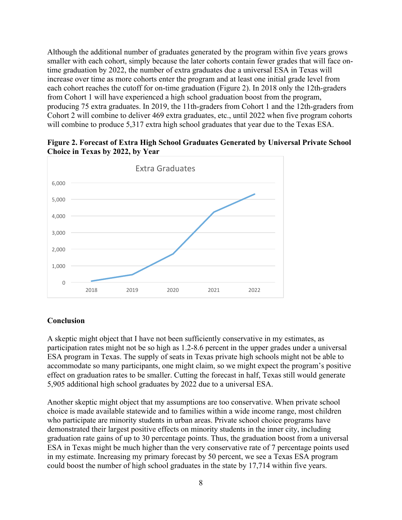Although the additional number of graduates generated by the program within five years grows smaller with each cohort, simply because the later cohorts contain fewer grades that will face ontime graduation by 2022, the number of extra graduates due a universal ESA in Texas will increase over time as more cohorts enter the program and at least one initial grade level from each cohort reaches the cutoff for on-time graduation (Figure 2). In 2018 only the 12th-graders from Cohort 1 will have experienced a high school graduation boost from the program, producing 75 extra graduates. In 2019, the 11th-graders from Cohort 1 and the 12th-graders from Cohort 2 will combine to deliver 469 extra graduates, etc., until 2022 when five program cohorts will combine to produce 5,317 extra high school graduates that year due to the Texas ESA.



**Figure 2. Forecast of Extra High School Graduates Generated by Universal Private School Choice in Texas by 2022, by Year**

#### **Conclusion**

A skeptic might object that I have not been sufficiently conservative in my estimates, as participation rates might not be so high as 1.2-8.6 percent in the upper grades under a universal ESA program in Texas. The supply of seats in Texas private high schools might not be able to accommodate so many participants, one might claim, so we might expect the program's positive effect on graduation rates to be smaller. Cutting the forecast in half, Texas still would generate 5,905 additional high school graduates by 2022 due to a universal ESA.

Another skeptic might object that my assumptions are too conservative. When private school choice is made available statewide and to families within a wide income range, most children who participate are minority students in urban areas. Private school choice programs have demonstrated their largest positive effects on minority students in the inner city, including graduation rate gains of up to 30 percentage points. Thus, the graduation boost from a universal ESA in Texas might be much higher than the very conservative rate of 7 percentage points used in my estimate. Increasing my primary forecast by 50 percent, we see a Texas ESA program could boost the number of high school graduates in the state by 17,714 within five years.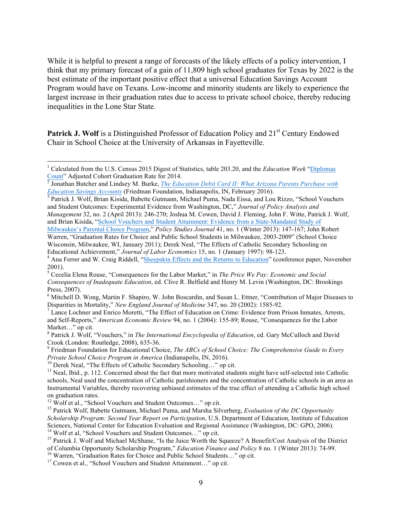While it is helpful to present a range of forecasts of the likely effects of a policy intervention, I think that my primary forecast of a gain of 11,809 high school graduates for Texas by 2022 is the best estimate of the important positive effect that a universal Education Savings Account Program would have on Texans. Low-income and minority students are likely to experience the largest increase in their graduation rates due to access to private school choice, thereby reducing inequalities in the Lone Star State.

**Patrick J. Wolf** is a Distinguished Professor of Education Policy and 21<sup>st</sup> Century Endowed Chair in School Choice at the University of Arkansas in Fayetteville.

and Brian Kisida, "School Vouchers and Student Attainment: Evidence from a State-Mandated Study of

Milwaukee's Parental Choice Program," *Policy Studies Journal* 41, no. 1 (Winter 2013): 147-167; John Robert Warren, "Graduation Rates for Choice and Public School Students in Milwaukee, 2003-2009" (School Choice Wisconsin, Milwaukee, WI, January 2011); Derek Neal, "The Effects of Catholic Secondary Schooling on

Disparities in Mortality," *New England Journal of Medicine* 347, no. 20 (2002): 1585-92. <sup>7</sup> Lance Lochner and Enrico Moretti, "The Effect of Education on Crime: Evidence from Prison Inmates, Arrests,

and Self-Reports," *American Economic Review* 94, no. 1 (2004): 155-89; Rouse, "Consequences for the Labor Market…" op cit.

Crook (London: Routledge, 2008), 635-36.<br><sup>9</sup> Friedman Foundation for Educational Choice, *The ABCs of School Choice: The Comprehensive Guide to Every Private School Choice Program in America (Indianapolis, IN, 2016).* 

 <sup>1</sup> Calculated from the U.S. Census 2015 Digest of Statistics, table 203.20, and the *Education Week* "Diplomas

Count" Adjusted Cohort Graduation Rate for 2014.<br><sup>2</sup> Jonathan Butcher and Lindsey M. Burke, *The Education Debit Card II: What Arizona Parents Purchase with Education Savings Accounts* (Friedman Foundation, Indianapolis, I

<sup>&</sup>lt;sup>3</sup> Patrick J. Wolf, Brian Kisida, Babette Gutmann, Michael Puma, Nada Eissa, and Lou Rizzo, "School Vouchers and Student Outcomes: Experimental Evidence from Washington, DC," *Journal of Policy Analysis and Management* 32, no. 2 (April 2013): 246-270; Joshua M. Cowen, David J. Fleming, John F. Witte, Patrick J. Wolf,

Educational Achievement," *Journal of Labor Economics* 15, no. 1 (January 1997): 98-123. <sup>4</sup> Ana Ferrer and W. Craig Riddell, "Sheepskin Effects and the Returns to Education" (conference paper, November

<sup>2001).</sup> <sup>5</sup> Cecelia Elena Rouse, "Consequences for the Labor Market," in *The Price We Pay: Economic and Social Consequences of Inadequate Education*, ed. Clive R. Belfield and Henry M. Levin (Washington, DC: Brookings Press, 2007).<br><sup>6</sup> Mitchell D. Wong, Martin F. Shapiro, W. John Boscardin, and Susan L. Ettner, "Contribution of Major Diseases to

<sup>8</sup> Patrick J. Wolf, "Vouchers," in *The International Encyclopedia of Education*, ed. Gary McCulloch and David

<sup>&</sup>lt;sup>10</sup> Derek Neal, "The Effects of Catholic Secondary Schooling..." op cit.<br><sup>11</sup> Neal, Ibid., p. 112. Concerned about the fact that more motivated students might have self-selected into Catholic schools, Neal used the concentration of Catholic parishioners and the concentration of Catholic schools in an area as Instrumental Variables, thereby recovering unbiased estimates of the true effect of attending a Catholic high school on graduation rates.<br><sup>12</sup> Wolf et al., "School Vouchers and Student Outcomes..." op cit.

<sup>&</sup>lt;sup>13</sup> Patrick Wolf, Babette Gutmann, Michael Puma, and Marsha Silverberg, *Evaluation of the DC Opportunity Scholarship Program: Second Year Report on Participation*, U.S. Department of Education, Institute of Education Sciences, National Center for Education Evaluation and Regional Assistance (Washington, DC: GPO, 2006).<br><sup>14</sup> Wolf et al, "School Vouchers and Student Outcomes..." op cit.<br><sup>15</sup> Patrick J. Wolf and Michael McShane, "Is the J

of Columbia Opportunity Scholarship Program," *Education Finance and Policy* 8 no. 1 (Winter 2013): 74-99.<br><sup>16</sup> Warren, "Graduation Rates for Choice and Public School Students..." op cit.<br><sup>17</sup> Cowen et al.. "School Voucher